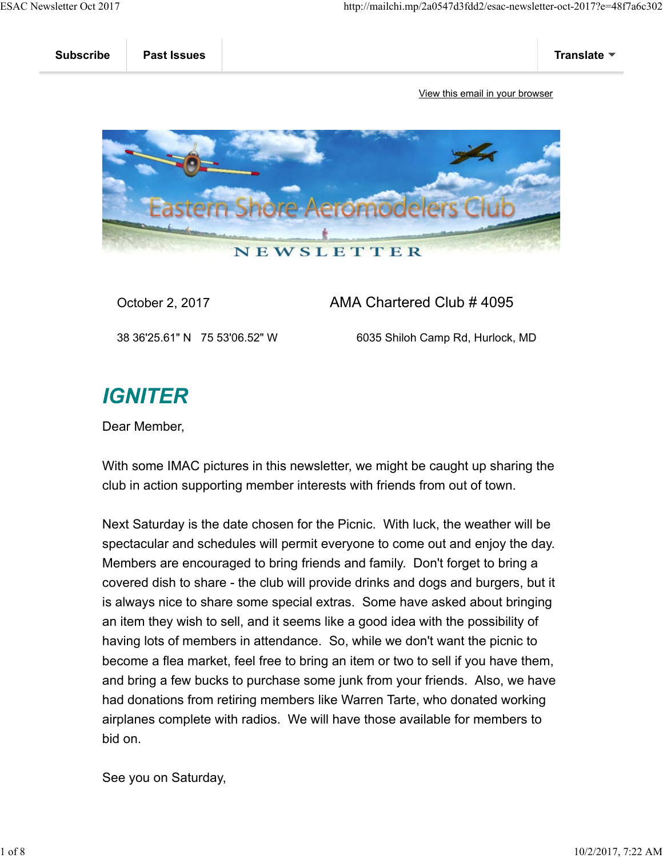

October 2, 2017 AMA Chartered Club # 4095

38 36'25.61" N 75 53'06.52" W 6035 Shiloh Camp Rd, Hurlock, MD

## **IGNITER**

Dear Member,

With some IMAC pictures in this newsletter, we might be caught up sharing the club in action supporting member interests with friends from out of town.

Next Saturday is the date chosen for the Picnic. With luck, the weather will be spectacular and schedules will permit everyone to come out and enjoy the day. Members are encouraged to bring friends and family. Don't forget to bring a covered dish to share - the club will provide drinks and dogs and burgers, but it is always nice to share some special extras. Some have asked about bringing an item they wish to sell, and it seems like a good idea with the possibility of having lots of members in attendance. So, while we don't want the picnic to become a flea market, feel free to bring an item or two to sell if you have them, and bring a few bucks to purchase some junk from your friends. Also, we have had donations from retiring members like Warren Tarte, who donated working airplanes complete with radios. We will have those available for members to bid on.

See you on Saturday,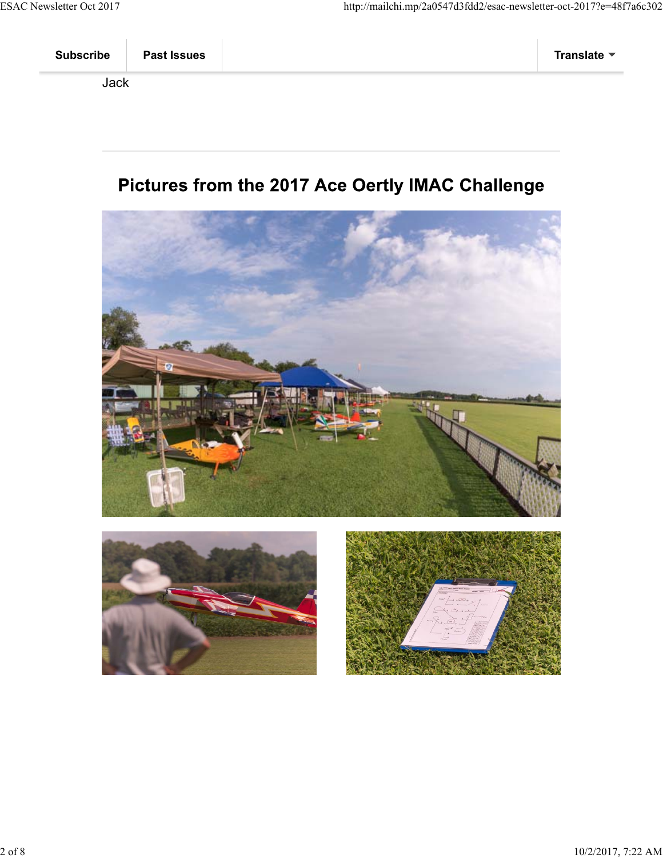## Pictures from the 2017 Ace Oertly IMAC Challenge





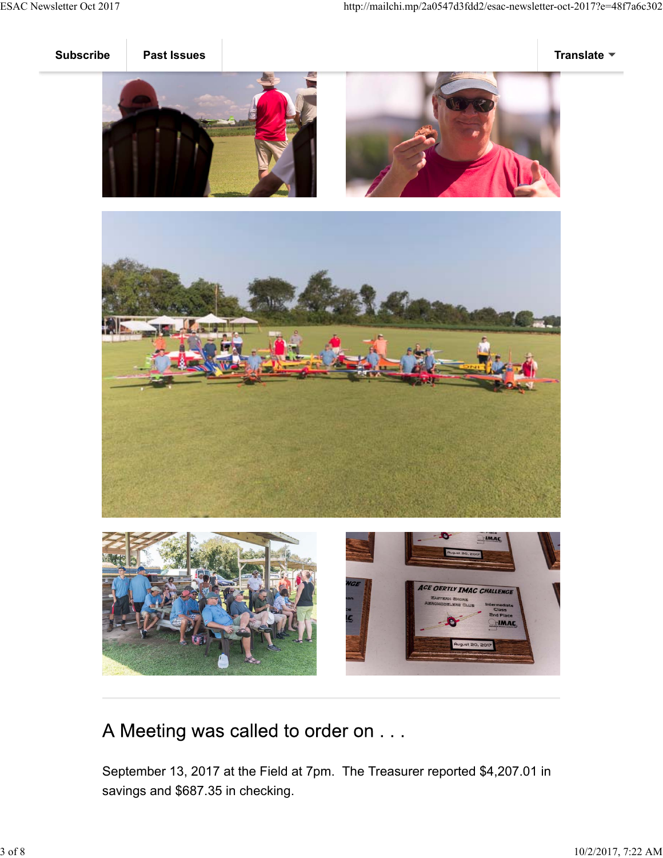







A Meeting was called to order on . . .

September 13, 2017 at the Field at 7pm. The Treasurer reported \$4,207.01 in savings and \$687.35 in checking.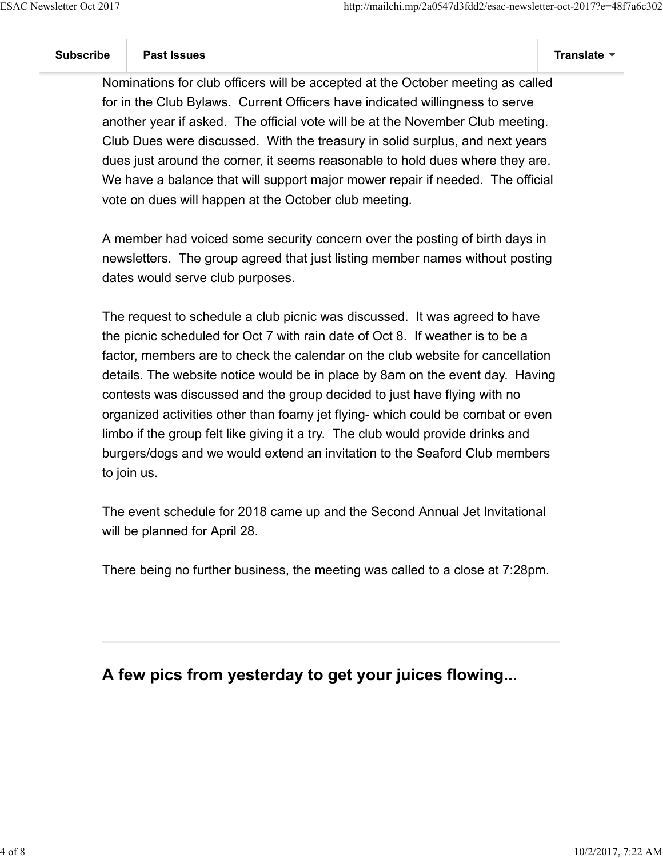Nominations for club officers will be accepted at the October meeting as called for in the Club Bylaws. Current Officers have indicated willingness to serve another year if asked. The official vote will be at the November Club meeting. Club Dues were discussed. With the treasury in solid surplus, and next years dues just around the corner, it seems reasonable to hold dues where they are. We have a balance that will support major mower repair if needed. The official vote on dues will happen at the October club meeting.

A member had voiced some security concern over the posting of birth days in newsletters. The group agreed that just listing member names without posting dates would serve club purposes.

The request to schedule a club picnic was discussed. It was agreed to have the picnic scheduled for Oct 7 with rain date of Oct 8. If weather is to be a factor, members are to check the calendar on the club website for cancellation details. The website notice would be in place by 8am on the event day. Having contests was discussed and the group decided to just have flying with no organized activities other than foamy jet flying- which could be combat or even limbo if the group felt like giving it a try. The club would provide drinks and burgers/dogs and we would extend an invitation to the Seaford Club members to join us.

The event schedule for 2018 came up and the Second Annual Jet Invitational will be planned for April 28.

There being no further business, the meeting was called to a close at 7:28pm.

## **A few pics from yesterday to get your juices flowing...**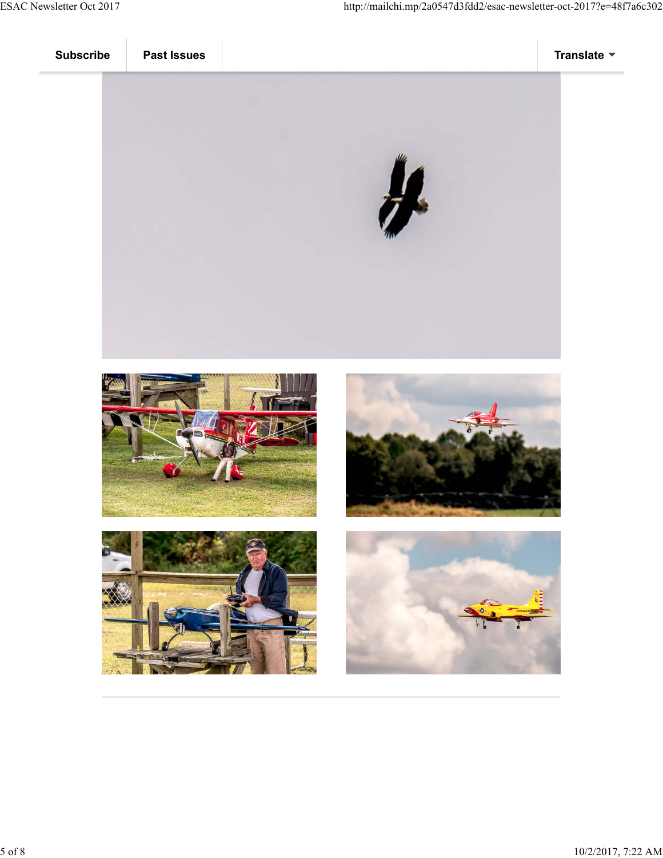







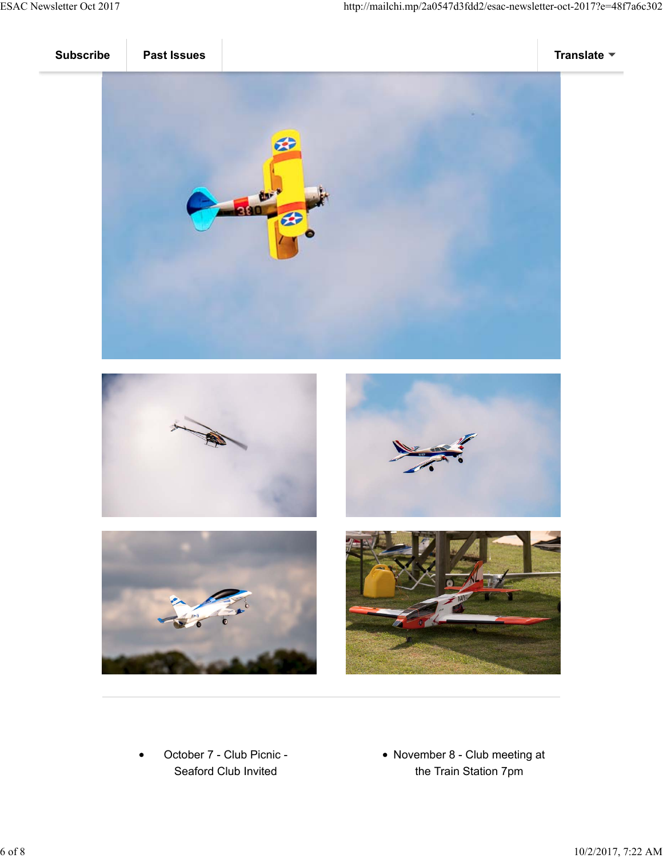



October 7 - Club Picnic - Seaford Club Invited

November 8 - Club meeting at the Train Station 7pm